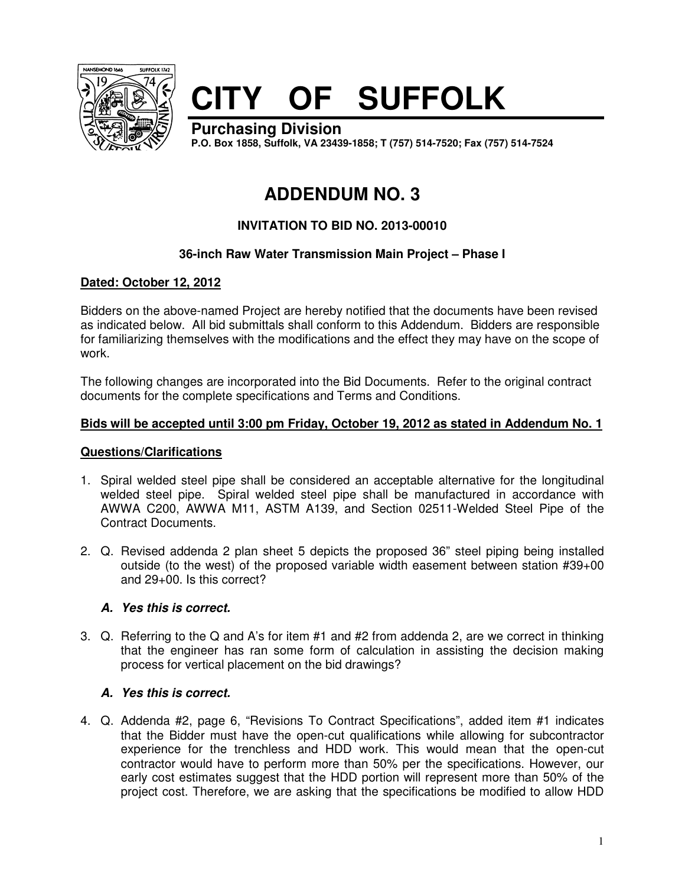

# **CITY OF SUFFOLK**

**Purchasing Division P.O. Box 1858, Suffolk, VA 23439-1858; T (757) 514-7520; Fax (757) 514-7524**

# **ADDENDUM NO. 3**

# **INVITATION TO BID NO. 2013-00010**

# **36-inch Raw Water Transmission Main Project – Phase I**

# **Dated: October 12, 2012**

Bidders on the above-named Project are hereby notified that the documents have been revised as indicated below. All bid submittals shall conform to this Addendum. Bidders are responsible for familiarizing themselves with the modifications and the effect they may have on the scope of work.

The following changes are incorporated into the Bid Documents. Refer to the original contract documents for the complete specifications and Terms and Conditions.

## **Bids will be accepted until 3:00 pm Friday, October 19, 2012 as stated in Addendum No. 1**

#### **Questions/Clarifications**

- 1. Spiral welded steel pipe shall be considered an acceptable alternative for the longitudinal welded steel pipe. Spiral welded steel pipe shall be manufactured in accordance with AWWA C200, AWWA M11, ASTM A139, and Section 02511-Welded Steel Pipe of the Contract Documents.
- 2. Q. Revised addenda 2 plan sheet 5 depicts the proposed 36" steel piping being installed outside (to the west) of the proposed variable width easement between station #39+00 and 29+00. Is this correct?

# **A. Yes this is correct.**

3. Q. Referring to the Q and A's for item #1 and #2 from addenda 2, are we correct in thinking that the engineer has ran some form of calculation in assisting the decision making process for vertical placement on the bid drawings?

# **A. Yes this is correct.**

4. Q. Addenda #2, page 6, "Revisions To Contract Specifications", added item #1 indicates that the Bidder must have the open-cut qualifications while allowing for subcontractor experience for the trenchless and HDD work. This would mean that the open-cut contractor would have to perform more than 50% per the specifications. However, our early cost estimates suggest that the HDD portion will represent more than 50% of the project cost. Therefore, we are asking that the specifications be modified to allow HDD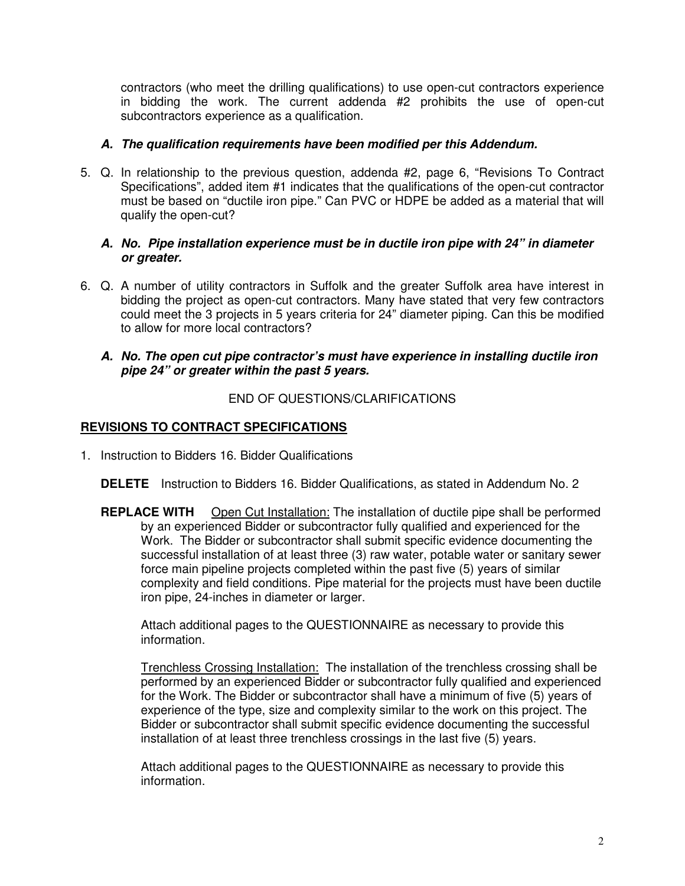contractors (who meet the drilling qualifications) to use open-cut contractors experience in bidding the work. The current addenda #2 prohibits the use of open-cut subcontractors experience as a qualification.

#### **A. The qualification requirements have been modified per this Addendum.**

5. Q. In relationship to the previous question, addenda #2, page 6, "Revisions To Contract Specifications", added item #1 indicates that the qualifications of the open-cut contractor must be based on "ductile iron pipe." Can PVC or HDPE be added as a material that will qualify the open-cut?

#### **A. No. Pipe installation experience must be in ductile iron pipe with 24" in diameter or greater.**

6. Q. A number of utility contractors in Suffolk and the greater Suffolk area have interest in bidding the project as open-cut contractors. Many have stated that very few contractors could meet the 3 projects in 5 years criteria for 24" diameter piping. Can this be modified to allow for more local contractors?

#### **A. No. The open cut pipe contractor's must have experience in installing ductile iron pipe 24" or greater within the past 5 years.**

## END OF QUESTIONS/CLARIFICATIONS

## **REVISIONS TO CONTRACT SPECIFICATIONS**

1. Instruction to Bidders 16. Bidder Qualifications

**DELETE** Instruction to Bidders 16. Bidder Qualifications, as stated in Addendum No. 2

**REPLACE WITH** Open Cut Installation: The installation of ductile pipe shall be performed by an experienced Bidder or subcontractor fully qualified and experienced for the Work. The Bidder or subcontractor shall submit specific evidence documenting the successful installation of at least three (3) raw water, potable water or sanitary sewer force main pipeline projects completed within the past five (5) years of similar complexity and field conditions. Pipe material for the projects must have been ductile iron pipe, 24-inches in diameter or larger.

Attach additional pages to the QUESTIONNAIRE as necessary to provide this information.

Trenchless Crossing Installation: The installation of the trenchless crossing shall be performed by an experienced Bidder or subcontractor fully qualified and experienced for the Work. The Bidder or subcontractor shall have a minimum of five (5) years of experience of the type, size and complexity similar to the work on this project. The Bidder or subcontractor shall submit specific evidence documenting the successful installation of at least three trenchless crossings in the last five (5) years.

Attach additional pages to the QUESTIONNAIRE as necessary to provide this information.